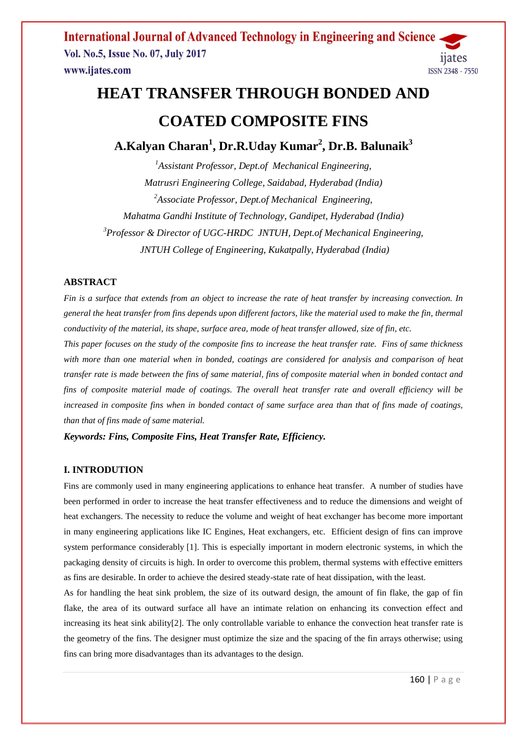# **HEAT TRANSFER THROUGH BONDED AND COATED COMPOSITE FINS**

**A.Kalyan Charan<sup>1</sup> , Dr.R.Uday Kumar<sup>2</sup> , Dr.B. Balunaik<sup>3</sup>**

*<sup>1</sup>Assistant Professor, Dept.of Mechanical Engineering, Matrusri Engineering College, Saidabad, Hyderabad (India) <sup>2</sup>Associate Professor, Dept.of Mechanical Engineering, Mahatma Gandhi Institute of Technology, Gandipet, Hyderabad (India) <sup>3</sup>Professor & Director of UGC-HRDC JNTUH, Dept.of Mechanical Engineering, JNTUH College of Engineering, Kukatpally, Hyderabad (India)*

## **ABSTRACT**

*Fin is a surface that extends from an object to increase the rate of heat transfer by increasing convection. In general the heat transfer from fins depends upon different factors, like the material used to make the fin, thermal conductivity of the material, its shape, surface area, mode of heat transfer allowed, size of fin, etc.*

*This paper focuses on the study of the composite fins to increase the heat transfer rate. Fins of same thickness with more than one material when in bonded, coatings are considered for analysis and comparison of heat transfer rate is made between the fins of same material, fins of composite material when in bonded contact and fins of composite material made of coatings. The overall heat transfer rate and overall efficiency will be increased in composite fins when in bonded contact of same surface area than that of fins made of coatings, than that of fins made of same material.*

*Keywords: Fins, Composite Fins, Heat Transfer Rate, Efficiency.*

## **I. INTRODUTION**

Fins are commonly used in many engineering applications to enhance heat transfer. A number of studies have been performed in order to increase the heat transfer effectiveness and to reduce the dimensions and weight of heat exchangers. The necessity to reduce the volume and weight of heat exchanger has become more important in many engineering applications like IC Engines, Heat exchangers, etc. Efficient design of fins can improve system performance considerably [1]. This is especially important in modern electronic systems, in which the packaging density of circuits is high. In order to overcome this problem, thermal systems with effective emitters as fins are desirable. In order to achieve the desired steady-state rate of heat dissipation, with the least.

As for handling the heat sink problem, the size of its outward design, the amount of fin flake, the gap of fin flake, the area of its outward surface all have an intimate relation on enhancing its convection effect and increasing its heat sink ability[2]. The only controllable variable to enhance the convection heat transfer rate is the geometry of the fins. The designer must optimize the size and the spacing of the fin arrays otherwise; using fins can bring more disadvantages than its advantages to the design.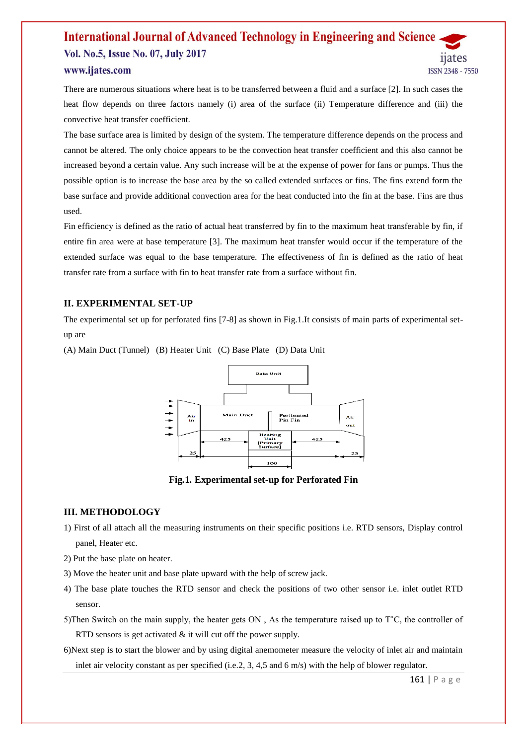#### **International Journal of Advanced Technology in Engineering and Science** Vol. No.5, Issue No. 07, July 2017 11ates www.ijates.com ISSN 2348 - 7550

There are numerous situations where heat is to be transferred between a fluid and a surface [2]. In such cases the heat flow depends on three factors namely (i) area of the surface (ii) Temperature difference and (iii) the convective heat transfer coefficient.

The base surface area is limited by design of the system. The temperature difference depends on the process and cannot be altered. The only choice appears to be the convection heat transfer coefficient and this also cannot be increased beyond a certain value. Any such increase will be at the expense of power for fans or pumps. Thus the possible option is to increase the base area by the so called extended surfaces or fins. The fins extend form the base surface and provide additional convection area for the heat conducted into the fin at the base. Fins are thus used.

Fin efficiency is defined as the ratio of actual heat transferred by fin to the maximum heat transferable by fin, if entire fin area were at base temperature [3]. The maximum heat transfer would occur if the temperature of the extended surface was equal to the base temperature. The effectiveness of fin is defined as the ratio of heat transfer rate from a surface with fin to heat transfer rate from a surface without fin.

#### **II. EXPERIMENTAL SET-UP**

The experimental set up for perforated fins [7-8] as shown in Fig.1.It consists of main parts of experimental setup are

(A) Main Duct (Tunnel) (B) Heater Unit (C) Base Plate (D) Data Unit



**Fig***.***1***.* **Experimental set-up for Perforated Fin**

#### **III. METHODOLOGY**

- 1) First of all attach all the measuring instruments on their specific positions i.e. RTD sensors, Display control panel, Heater etc.
- 2) Put the base plate on heater.
- 3) Move the heater unit and base plate upward with the help of screw jack.
- 4) The base plate touches the RTD sensor and check the positions of two other sensor i.e. inlet outlet RTD sensor.
- 5)Then Switch on the main supply, the heater gets ON , As the temperature raised up to T˚C, the controller of RTD sensors is get activated  $\&$  it will cut off the power supply.
- 6)Next step is to start the blower and by using digital anemometer measure the velocity of inlet air and maintain inlet air velocity constant as per specified (i.e.2, 3, 4,5 and 6 m/s) with the help of blower regulator.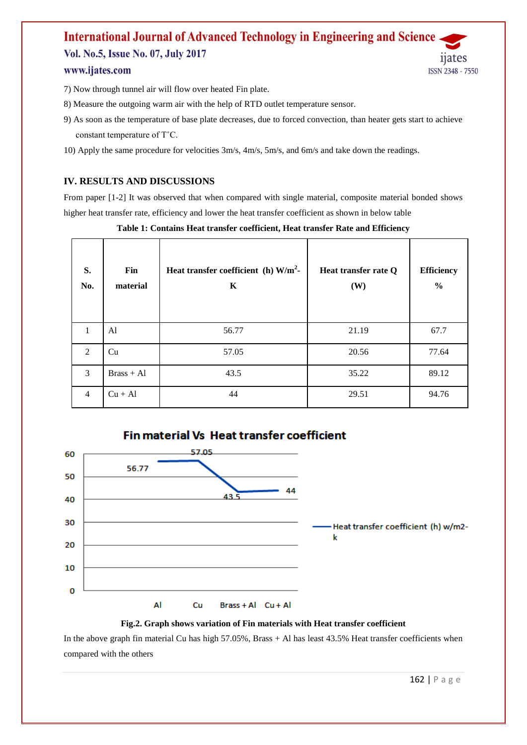# **International Journal of Advanced Technology in Engineering and Science** Vol. No.5, Issue No. 07, July 2017 www.ijates.com



- 7) Now through tunnel air will flow over heated Fin plate.
- 8) Measure the outgoing warm air with the help of RTD outlet temperature sensor.
- 9) As soon as the temperature of base plate decreases, due to forced convection, than heater gets start to achieve constant temperature of T˚C.
- 10) Apply the same procedure for velocities 3m/s, 4m/s, 5m/s, and 6m/s and take down the readings.

### **IV. RESULTS AND DISCUSSIONS**

From paper [1-2] It was observed that when compared with single material, composite material bonded shows higher heat transfer rate, efficiency and lower the heat transfer coefficient as shown in below table

| S.<br>No.      | Fin<br>material | Heat transfer coefficient (h) $W/m^2$ -<br>$\mathbf K$ | Heat transfer rate Q<br>(W) | <b>Efficiency</b><br>$\frac{0}{0}$ |
|----------------|-----------------|--------------------------------------------------------|-----------------------------|------------------------------------|
| 1              | Al              | 56.77                                                  | 21.19                       | 67.7                               |
| 2              | Cu              | 57.05                                                  | 20.56                       | 77.64                              |
| 3              | $Brass + Al$    | 43.5                                                   | 35.22                       | 89.12                              |
| $\overline{4}$ | $Cu + Al$       | 44                                                     | 29.51                       | 94.76                              |

**Table 1: Contains Heat transfer coefficient, Heat transfer Rate and Efficiency**



#### **Fig.2. Graph shows variation of Fin materials with Heat transfer coefficient**

In the above graph fin material Cu has high 57.05%, Brass + Al has least 43.5% Heat transfer coefficients when compared with the others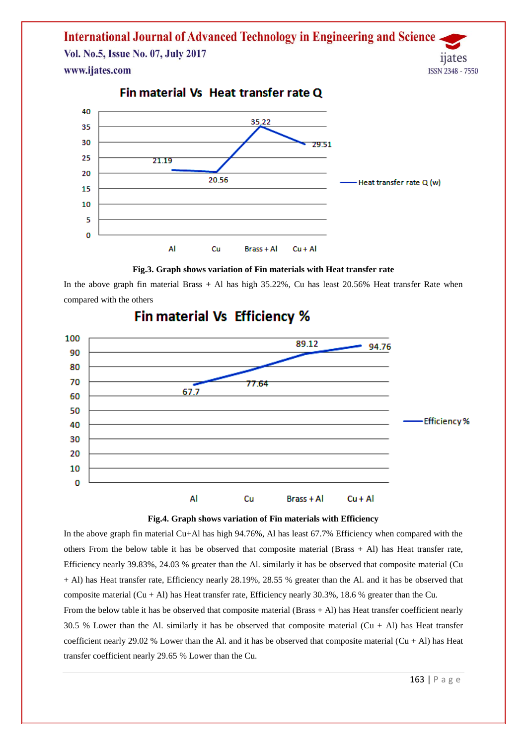**International Journal of Advanced Technology in Engineering and Science** Vol. No.5, Issue No. 07, July 2017 ijates www.ijates.com ISSN 2348 - 7550



# Fin material Vs Heat transfer rate Q

#### **Fig.3. Graph shows variation of Fin materials with Heat transfer rate**

In the above graph fin material Brass + Al has high 35.22%, Cu has least 20.56% Heat transfer Rate when compared with the others



# Fin material Vs Efficiency %



In the above graph fin material Cu+Al has high 94.76%, Al has least 67.7% Efficiency when compared with the others From the below table it has be observed that composite material (Brass + Al) has Heat transfer rate, Efficiency nearly 39.83%, 24.03 % greater than the Al. similarly it has be observed that composite material (Cu + Al) has Heat transfer rate, Efficiency nearly 28.19%, 28.55 % greater than the Al. and it has be observed that composite material (Cu + Al) has Heat transfer rate, Efficiency nearly 30.3%, 18.6 % greater than the Cu.

From the below table it has be observed that composite material (Brass  $+$  Al) has Heat transfer coefficient nearly 30.5 % Lower than the Al. similarly it has be observed that composite material  $(Cu + AU)$  has Heat transfer coefficient nearly 29.02 % Lower than the Al. and it has be observed that composite material  $(Cu + Al)$  has Heat transfer coefficient nearly 29.65 % Lower than the Cu.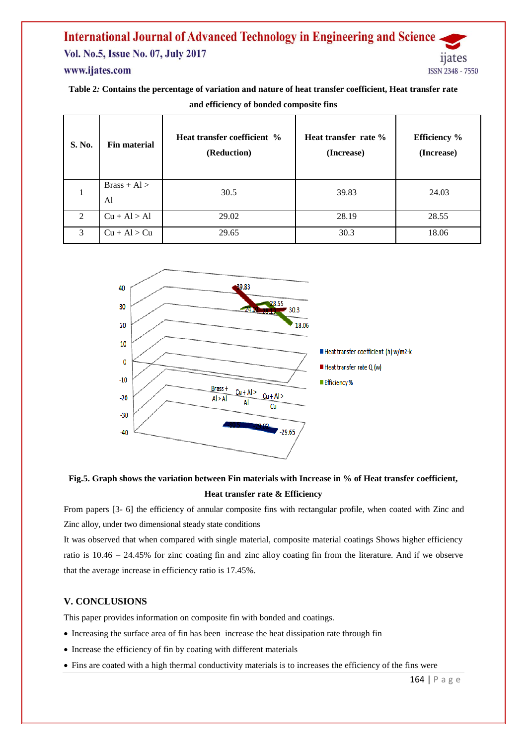#### **International Journal of Advanced Technology in Engineering and Science** Vol. No.5, Issue No. 07, July 2017 ijates www.ijates.com ISSN 2348 - 7550

**Table 2***:* **Contains the percentage of variation and nature of heat transfer coefficient, Heat transfer rate and efficiency of bonded composite fins**

| S. No.        | <b>Fin material</b>  | Heat transfer coefficient %<br>(Reduction) | Heat transfer rate %<br>(Increase) | <b>Efficiency</b> %<br>(Increase) |
|---------------|----------------------|--------------------------------------------|------------------------------------|-----------------------------------|
|               | $Brass + Al >$<br>Al | 30.5                                       | 39.83                              | 24.03                             |
| $\mathcal{L}$ | $Cu + Al > Al$       | 29.02                                      | 28.19                              | 28.55                             |
| 3             | $Cu + Al > Cu$       | 29.65                                      | 30.3                               | 18.06                             |



# **Fig.5. Graph shows the variation between Fin materials with Increase in % of Heat transfer coefficient, Heat transfer rate & Efficiency**

From papers [3- 6] the efficiency of annular composite fins with rectangular profile, when coated with Zinc and Zinc alloy, under two dimensional steady state conditions

It was observed that when compared with single material, composite material coatings Shows higher efficiency ratio is 10.46 – 24.45% for zinc coating fin and zinc alloy coating fin from the literature. And if we observe that the average increase in efficiency ratio is 17.45%.

#### **V. CONCLUSIONS**

This paper provides information on composite fin with bonded and coatings.

- Increasing the surface area of fin has been increase the heat dissipation rate through fin
- Increase the efficiency of fin by coating with different materials
- Fins are coated with a high thermal conductivity materials is to increases the efficiency of the fins were